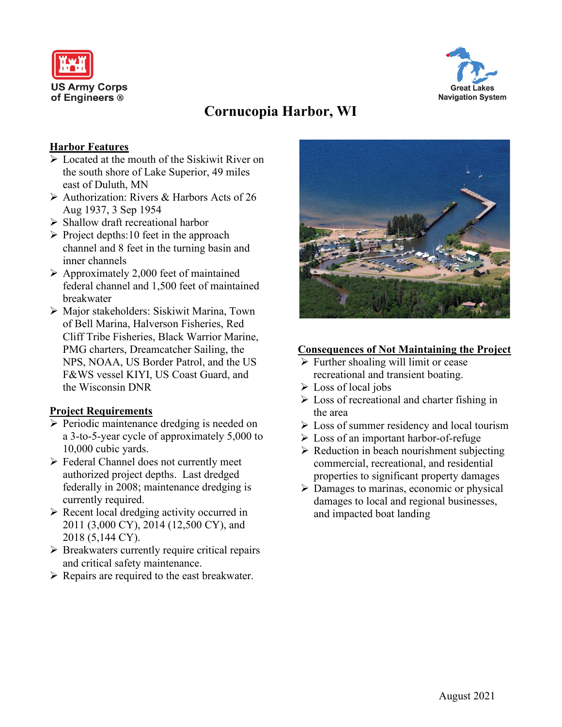



# **Cornucopia Harbor, WI**

## **Harbor Features**

- $\triangleright$  Located at the mouth of the Siskiwit River on the south shore of Lake Superior, 49 miles east of Duluth, MN
- $\triangleright$  Authorization: Rivers & Harbors Acts of 26 Aug 1937, 3 Sep 1954
- $\triangleright$  Shallow draft recreational harbor
- $\triangleright$  Project depths:10 feet in the approach channel and 8 feet in the turning basin and inner channels
- $\triangleright$  Approximately 2,000 feet of maintained federal channel and 1,500 feet of maintained breakwater
- Major stakeholders: Siskiwit Marina, Town of Bell Marina, Halverson Fisheries, Red Cliff Tribe Fisheries, Black Warrior Marine, PMG charters, Dreamcatcher Sailing, the NPS, NOAA, US Border Patrol, and the US F&WS vessel KIYI, US Coast Guard, and the Wisconsin DNR

# **Project Requirements**

- $\triangleright$  Periodic maintenance dredging is needed on a 3-to-5-year cycle of approximately 5,000 to 10,000 cubic yards.
- Federal Channel does not currently meet authorized project depths. Last dredged federally in 2008; maintenance dredging is currently required.
- $\triangleright$  Recent local dredging activity occurred in 2011 (3,000 CY), 2014 (12,500 CY), and 2018 (5,144 CY).
- $\triangleright$  Breakwaters currently require critical repairs and critical safety maintenance.
- $\triangleright$  Repairs are required to the east breakwater.



### **Consequences of Not Maintaining the Project**

- $\triangleright$  Further shoaling will limit or cease recreational and transient boating.
- $\triangleright$  Loss of local jobs
- $\triangleright$  Loss of recreational and charter fishing in the area
- $\triangleright$  Loss of summer residency and local tourism
- Loss of an important harbor-of-refuge
- $\triangleright$  Reduction in beach nourishment subjecting commercial, recreational, and residential properties to significant property damages
- $\triangleright$  Damages to marinas, economic or physical damages to local and regional businesses, and impacted boat landing